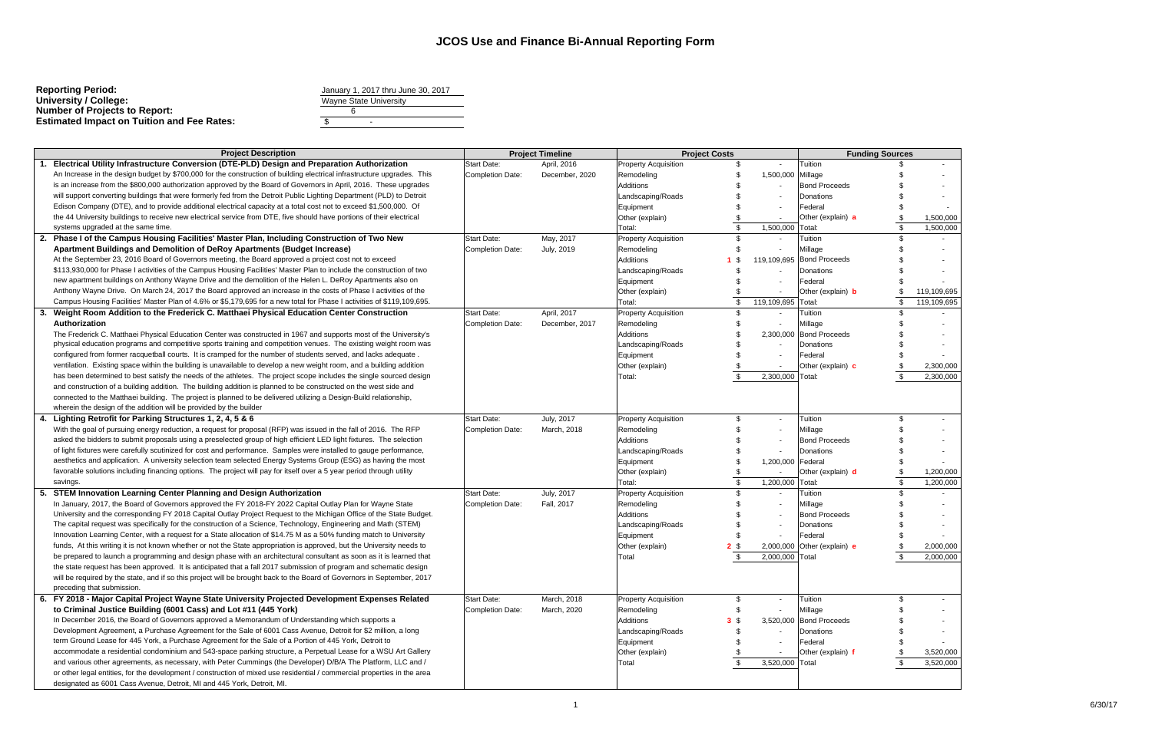| <b>Reporting Period:</b>                          | January 1, 2017 thru June 30, 2017 |  |  |  |
|---------------------------------------------------|------------------------------------|--|--|--|
| University / College:                             | <b>Wayne State University</b>      |  |  |  |
| <b>Number of Projects to Report:</b>              |                                    |  |  |  |
| <b>Estimated Impact on Tuition and Fee Rates:</b> | $\overline{\phantom{a}}$           |  |  |  |
|                                                   |                                    |  |  |  |

|                               | January 1, 2017 thru June 30, 2017 |  |
|-------------------------------|------------------------------------|--|
| <b>Wayne State University</b> |                                    |  |
|                               |                                    |  |
|                               |                                    |  |
|                               |                                    |  |

|    | <b>Project Description</b>                                                                                               |                         | <b>Project Timeline</b> |                             | <b>Project Costs</b> |                          | <b>Funding Sources</b>    |    |             |
|----|--------------------------------------------------------------------------------------------------------------------------|-------------------------|-------------------------|-----------------------------|----------------------|--------------------------|---------------------------|----|-------------|
|    | Electrical Utility Infrastructure Conversion (DTE-PLD) Design and Preparation Authorization                              | Start Date:             | April, 2016             | <b>Property Acquisition</b> |                      |                          | Tuition                   |    |             |
|    | An Increase in the design budget by \$700,000 for the construction of building electrical infrastructure upgrades. This  | <b>Completion Date:</b> | December, 2020          | Remodeling                  |                      | 1,500,000 Millage        |                           |    |             |
|    | is an increase from the \$800,000 authorization approved by the Board of Governors in April, 2016. These upgrades        |                         |                         | Additions                   |                      |                          | <b>Bond Proceeds</b>      |    |             |
|    | will support converting buildings that were formerly fed from the Detroit Public Lighting Department (PLD) to Detroit    |                         |                         | Landscaping/Roads           |                      |                          | Donations                 |    |             |
|    | Edison Company (DTE), and to provide additional electrical capacity at a total cost not to exceed \$1,500,000. Of        |                         |                         | Equipment                   |                      |                          | Federal                   |    |             |
|    | the 44 University buildings to receive new electrical service from DTE, five should have portions of their electrical    |                         |                         | Other (explain)             |                      | $\overline{\phantom{a}}$ | Other (explain) a         |    | 1,500,000   |
|    | systems upgraded at the same time.                                                                                       |                         |                         | Total:                      | \$.                  | 1,500,000                | Total:                    |    | 1,500,000   |
| 2. | Phase I of the Campus Housing Facilities' Master Plan, Including Construction of Two New                                 | <b>Start Date:</b>      | May, 2017               | <b>Property Acquisition</b> |                      |                          | Tuition                   |    |             |
|    | <b>Apartment Buildings and Demolition of DeRoy Apartments (Budget Increase)</b>                                          | <b>Completion Date:</b> | July, 2019              | Remodeling                  |                      |                          | Millage                   |    |             |
|    | At the September 23, 2016 Board of Governors meeting, the Board approved a project cost not to exceed                    |                         |                         | Additions                   | - \$                 |                          | 119,109,695 Bond Proceeds |    |             |
|    | \$113,930,000 for Phase I activities of the Campus Housing Facilities' Master Plan to include the construction of two    |                         |                         | Landscaping/Roads           |                      |                          | Donations                 |    |             |
|    | new apartment buildings on Anthony Wayne Drive and the demolition of the Helen L. DeRoy Apartments also on               |                         |                         | Equipment                   |                      | $\overline{\phantom{a}}$ | Federal                   |    |             |
|    | Anthony Wayne Drive. On March 24, 2017 the Board approved an increase in the costs of Phase I activities of the          |                         |                         | Other (explain)             |                      |                          | Other (explain) <b>b</b>  |    | 119,109,695 |
|    | Campus Housing Facilities' Master Plan of 4.6% or \$5,179,695 for a new total for Phase I activities of \$119,109,695.   |                         |                         | Total:                      |                      | 119,109,695              | Total:                    |    | 119,109,695 |
| 3. | Weight Room Addition to the Frederick C. Matthaei Physical Education Center Construction                                 | <b>Start Date:</b>      | April, 2017             | <b>Property Acquisition</b> |                      |                          | Tuition                   |    |             |
|    | Authorization                                                                                                            | <b>Completion Date:</b> | December, 2017          | Remodeling                  |                      |                          | Millage                   |    |             |
|    | The Frederick C. Matthaei Physical Education Center was constructed in 1967 and supports most of the University's        |                         |                         | Additions                   |                      |                          | 2,300,000 Bond Proceeds   |    |             |
|    | physical education programs and competitive sports training and competition venues. The existing weight room was         |                         |                         | Landscaping/Roads           |                      |                          | Donations                 |    |             |
|    | configured from former racquetball courts. It is cramped for the number of students served, and lacks adequate.          |                         |                         | Equipment                   |                      |                          | Federal                   |    |             |
|    | ventilation. Existing space within the building is unavailable to develop a new weight room, and a building addition     |                         |                         | Other (explain)             |                      |                          | Other (explain) c         |    | 2,300,000   |
|    | has been determined to best satisfy the needs of the athletes. The project scope includes the single sourced design      |                         |                         | Total:                      |                      | 2,300,000                | Total:                    |    | 2,300,000   |
|    | and construction of a building addition. The building addition is planned to be constructed on the west side and         |                         |                         |                             |                      |                          |                           |    |             |
|    | connected to the Matthaei building. The project is planned to be delivered utilizing a Design-Build relationship,        |                         |                         |                             |                      |                          |                           |    |             |
|    | wherein the design of the addition will be provided by the builder                                                       |                         |                         |                             |                      |                          |                           |    |             |
|    | 4. Lighting Retrofit for Parking Structures 1, 2, 4, 5 & 6                                                               | <b>Start Date:</b>      | July, 2017              | <b>Property Acquisition</b> |                      | $\blacksquare$           | Tuition                   | \$ |             |
|    | With the goal of pursuing energy reduction, a request for proposal (RFP) was issued in the fall of 2016. The RFP         |                         | March, 2018             | Remodeling                  |                      |                          |                           |    |             |
|    | asked the bidders to submit proposals using a preselected group of high efficient LED light fixtures. The selection      | Completion Date:        |                         |                             |                      |                          | Millage                   |    |             |
|    | of light fixtures were carefully scutinized for cost and performance. Samples were installed to gauge performance,       |                         |                         | Additions                   |                      |                          | <b>Bond Proceeds</b>      |    |             |
|    | aesthetics and application. A university selection team selected Energy Systems Group (ESG) as having the most           |                         |                         | Landscaping/Roads           |                      |                          | Donations                 |    |             |
|    |                                                                                                                          |                         |                         | Equipment                   |                      | 1,200,000                | Federal                   |    |             |
|    | favorable solutions including financing options. The project will pay for itself over a 5 year period through utility    |                         |                         | Other (explain)             |                      | $\overline{\phantom{a}}$ | Other (explain) d         |    | 1,200,000   |
|    | savings.                                                                                                                 |                         |                         | Total:                      |                      | 1,200,000                | Total:                    |    | 1,200,000   |
| 5. | STEM Innovation Learning Center Planning and Design Authorization                                                        | <b>Start Date:</b>      | July, 2017              | <b>Property Acquisition</b> | \$.                  |                          | Tuition                   |    |             |
|    | In January, 2017, the Board of Governors approved the FY 2018-FY 2022 Capital Outlay Plan for Wayne State                | <b>Completion Date:</b> | Fall, 2017              | Remodeling                  |                      |                          | Millage                   |    |             |
|    | University and the corresponding FY 2018 Capital Outlay Project Request to the Michigan Office of the State Budget.      |                         |                         | Additions                   |                      |                          | <b>Bond Proceeds</b>      |    |             |
|    | The capital request was specifically for the construction of a Science, Technology, Engineering and Math (STEM)          |                         |                         | Landscaping/Roads           |                      |                          | Donations                 |    |             |
|    | Innovation Learning Center, with a request for a State allocation of \$14.75 M as a 50% funding match to University      |                         |                         | Equipment                   |                      |                          | Federal                   |    |             |
|    | funds, At this writing it is not known whether or not the State appropriation is approved, but the University needs to   |                         |                         | Other (explain)             | 2 <sup>5</sup>       | 2,000,000                | Other (explain) e         |    | 2,000,000   |
|    | be prepared to launch a programming and design phase with an architectural consultant as soon as it is learned that      |                         |                         | Total                       |                      | 2,000,000                | Total                     |    | 2,000,000   |
|    | the state request has been approved. It is anticipated that a fall 2017 submission of program and schematic design       |                         |                         |                             |                      |                          |                           |    |             |
|    | will be required by the state, and if so this project will be brought back to the Board of Governors in September, 2017  |                         |                         |                             |                      |                          |                           |    |             |
|    | preceding that submission.                                                                                               |                         |                         |                             |                      |                          |                           |    |             |
|    | 6. FY 2018 - Major Capital Project Wayne State University Projected Development Expenses Related                         | <b>Start Date:</b>      | March, 2018             | <b>Property Acquisition</b> | \$                   | $\sim$                   | Tuition                   |    |             |
|    | to Criminal Justice Building (6001 Cass) and Lot #11 (445 York)                                                          | <b>Completion Date:</b> | March, 2020             | Remodeling                  | \$                   | $\overline{\phantom{a}}$ | Millage                   |    |             |
|    | In December 2016, the Board of Governors approved a Memorandum of Understanding which supports a                         |                         |                         | Additions                   | $3 \sqrt{3}$         |                          | 3,520,000 Bond Proceeds   |    |             |
|    | Development Agreement, a Purchase Agreement for the Sale of 6001 Cass Avenue, Detroit for \$2 million, a long            |                         |                         | Landscaping/Roads           |                      | $\overline{\phantom{a}}$ | Donations                 |    |             |
|    | term Ground Lease for 445 York, a Purchase Agreement for the Sale of a Portion of 445 York, Detroit to                   |                         |                         | Equipment                   |                      |                          | Federal                   |    |             |
|    | accommodate a residential condominium and 543-space parking structure, a Perpetual Lease for a WSU Art Gallery           |                         |                         | Other (explain)             |                      | $\overline{\phantom{a}}$ | Other (explain) f         |    | 3,520,000   |
|    | and various other agreements, as necessary, with Peter Cummings (the Developer) D/B/A The Platform, LLC and /            |                         |                         | Total                       | \$                   | 3,520,000 Total          |                           |    | 3,520,000   |
|    | or other legal entities, for the development / construction of mixed use residential / commercial properties in the area |                         |                         |                             |                      |                          |                           |    |             |
|    | designated as 6001 Cass Avenue, Detroit, MI and 445 York, Detroit, MI.                                                   |                         |                         |                             |                      |                          |                           |    |             |